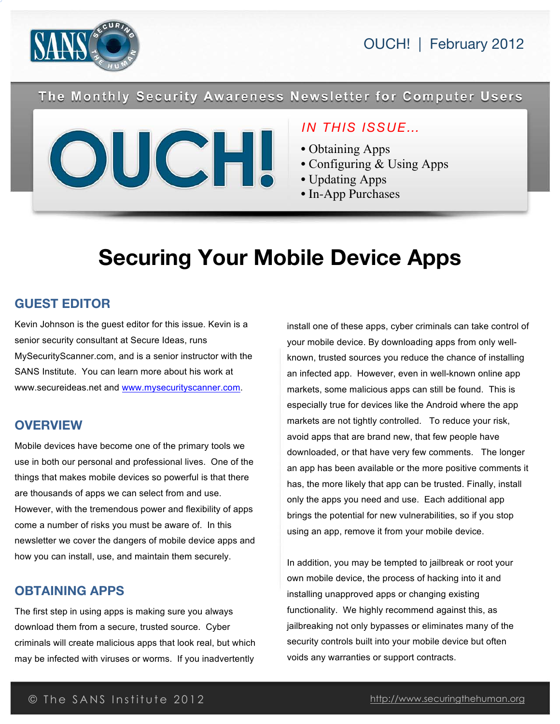

OUCH! | February 2012

The Monthly Security Awareness Newsletter for Computer Users



# *IN THIS ISSUE…*

- Obtaining Apps
- Configuring & Using Apps
- Updating Apps
- In-App Purchases

# **Securing Your Mobile Device Apps**

## **GUEST EDITOR**

Kevin Johnson is the guest editor for this issue. Kevin is a senior security consultant at Secure Ideas, runs MySecurityScanner.com, and is a senior instructor with the SANS Institute. You can learn more about his work at www.secureideas.net and www.mysecurityscanner.com.

#### **OVERVIEW**

Mobile devices have become one of the primary tools we use in both our personal and professional lives. One of the things that makes mobile devices so powerful is that there are thousands of apps we can select from and use. However, with the tremendous power and flexibility of apps come a number of risks you must be aware of. In this newsletter we cover the dangers of mobile device apps and how you can install, use, and maintain them securely.

#### **OBTAINING APPS**

The first step in using apps is making sure you always download them from a secure, trusted source. Cyber criminals will create malicious apps that look real, but which may be infected with viruses or worms. If you inadvertently

install one of these apps, cyber criminals can take control of your mobile device. By downloading apps from only wellknown, trusted sources you reduce the chance of installing an infected app. However, even in well-known online app markets, some malicious apps can still be found. This is especially true for devices like the Android where the app markets are not tightly controlled. To reduce your risk, avoid apps that are brand new, that few people have downloaded, or that have very few comments. The longer an app has been available or the more positive comments it has, the more likely that app can be trusted. Finally, install only the apps you need and use. Each additional app brings the potential for new vulnerabilities, so if you stop using an app, remove it from your mobile device.

In addition, you may be tempted to jailbreak or root your own mobile device, the process of hacking into it and installing unapproved apps or changing existing functionality. We highly recommend against this, as jailbreaking not only bypasses or eliminates many of the security controls built into your mobile device but often voids any warranties or support contracts.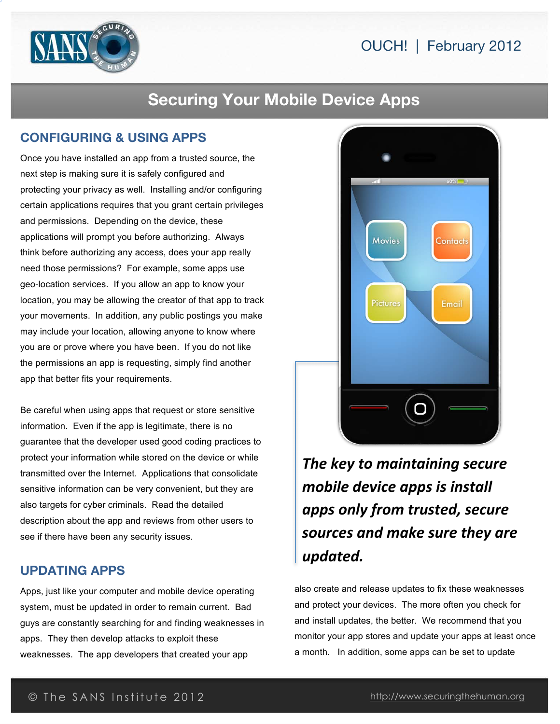



# **Securing Your Mobile Device Apps**

## **CONFIGURING & USING APPS**

Once you have installed an app from a trusted source, the next step is making sure it is safely configured and protecting your privacy as well. Installing and/or configuring certain applications requires that you grant certain privileges and permissions. Depending on the device, these applications will prompt you before authorizing. Always think before authorizing any access, does your app really need those permissions? For example, some apps use geo-location services. If you allow an app to know your location, you may be allowing the creator of that app to track your movements. In addition, any public postings you make may include your location, allowing anyone to know where you are or prove where you have been. If you do not like the permissions an app is requesting, simply find another app that better fits your requirements.

Be careful when using apps that request or store sensitive information. Even if the app is legitimate, there is no guarantee that the developer used good coding practices to protect your information while stored on the device or while transmitted over the Internet. Applications that consolidate sensitive information can be very convenient, but they are also targets for cyber criminals. Read the detailed description about the app and reviews from other users to see if there have been any security issues.

#### **UPDATING APPS**

Apps, just like your computer and mobile device operating system, must be updated in order to remain current. Bad guys are constantly searching for and finding weaknesses in apps. They then develop attacks to exploit these weaknesses. The app developers that created your app



*The key to maintaining secure mobile device apps is install apps\$only\$from\$trusted,\$secure\$ sources\$and\$make\$sure\$they\$are\$ updated.*

also create and release updates to fix these weaknesses and protect your devices. The more often you check for and install updates, the better. We recommend that you monitor your app stores and update your apps at least once a month. In addition, some apps can be set to update